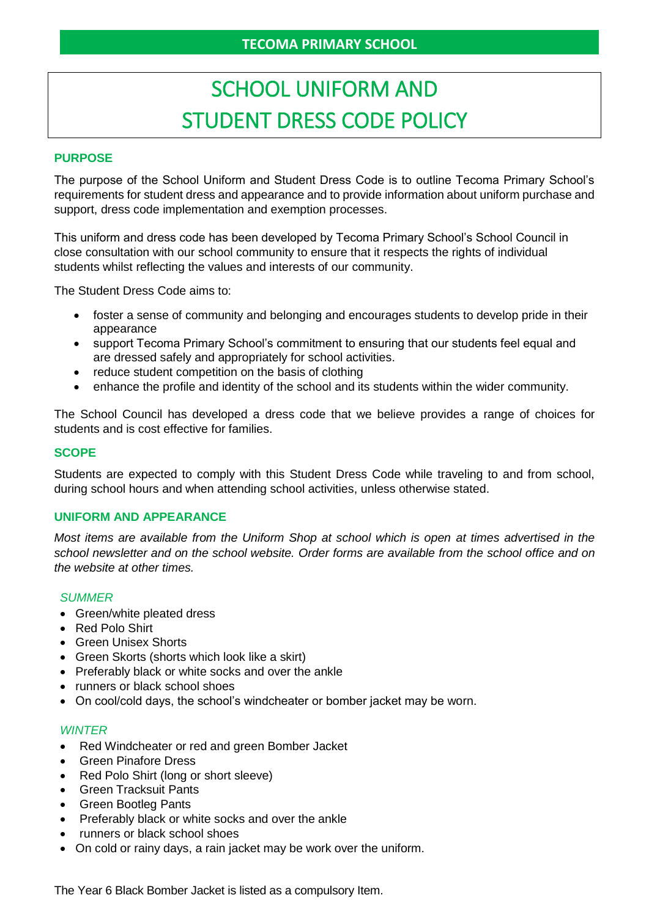# SCHOOL UNIFORM AND STUDENT DRESS CODE POLICY

# **PURPOSE**

The purpose of the School Uniform and Student Dress Code is to outline Tecoma Primary School's requirements for student dress and appearance and to provide information about uniform purchase and support, dress code implementation and exemption processes.

This uniform and dress code has been developed by Tecoma Primary School's School Council in close consultation with our school community to ensure that it respects the rights of individual students whilst reflecting the values and interests of our community.

The Student Dress Code aims to:

- foster a sense of community and belonging and encourages students to develop pride in their appearance
- support Tecoma Primary School's commitment to ensuring that our students feel equal and are dressed safely and appropriately for school activities.
- reduce student competition on the basis of clothing
- enhance the profile and identity of the school and its students within the wider community.

The School Council has developed a dress code that we believe provides a range of choices for students and is cost effective for families.

#### **SCOPE**

Students are expected to comply with this Student Dress Code while traveling to and from school, during school hours and when attending school activities, unless otherwise stated.

#### **UNIFORM AND APPEARANCE**

*Most items are available from the Uniform Shop at school which is open at times advertised in the school newsletter and on the school website. Order forms are available from the school office and on the website at other times.*

#### *SUMMER*

- Green/white pleated dress
- Red Polo Shirt
- Green Unisex Shorts
- Green Skorts (shorts which look like a skirt)
- Preferably black or white socks and over the ankle
- runners or black school shoes
- On cool/cold days, the school's windcheater or bomber jacket may be worn.

#### *WINTER*

- Red Windcheater or red and green Bomber Jacket
- Green Pinafore Dress
- Red Polo Shirt (long or short sleeve)
- Green Tracksuit Pants
- Green Bootleg Pants
- Preferably black or white socks and over the ankle
- runners or black school shoes
- On cold or rainy days, a rain jacket may be work over the uniform.

The Year 6 Black Bomber Jacket is listed as a compulsory Item.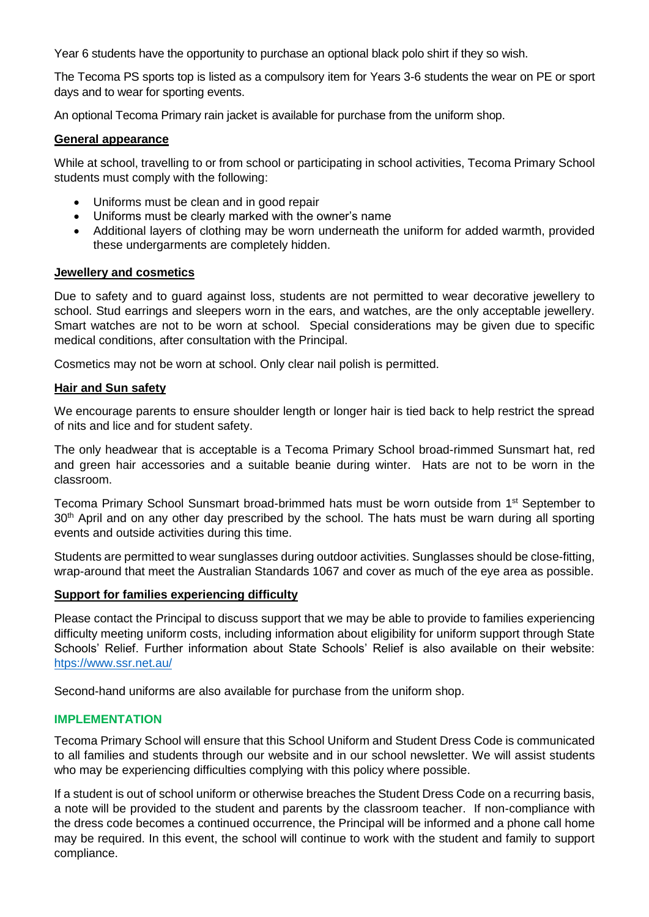Year 6 students have the opportunity to purchase an optional black polo shirt if they so wish.

The Tecoma PS sports top is listed as a compulsory item for Years 3-6 students the wear on PE or sport days and to wear for sporting events.

An optional Tecoma Primary rain jacket is available for purchase from the uniform shop.

# **General appearance**

While at school, travelling to or from school or participating in school activities, Tecoma Primary School students must comply with the following:

- Uniforms must be clean and in good repair
- Uniforms must be clearly marked with the owner's name
- Additional layers of clothing may be worn underneath the uniform for added warmth, provided these undergarments are completely hidden.

# **Jewellery and cosmetics**

Due to safety and to guard against loss, students are not permitted to wear decorative jewellery to school. Stud earrings and sleepers worn in the ears, and watches, are the only acceptable jewellery. Smart watches are not to be worn at school. Special considerations may be given due to specific medical conditions, after consultation with the Principal.

Cosmetics may not be worn at school. Only clear nail polish is permitted.

# **Hair and Sun safety**

We encourage parents to ensure shoulder length or longer hair is tied back to help restrict the spread of nits and lice and for student safety.

The only headwear that is acceptable is a Tecoma Primary School broad-rimmed Sunsmart hat, red and green hair accessories and a suitable beanie during winter. Hats are not to be worn in the classroom.

Tecoma Primary School Sunsmart broad-brimmed hats must be worn outside from 1<sup>st</sup> September to 30<sup>th</sup> April and on any other day prescribed by the school. The hats must be warn during all sporting events and outside activities during this time.

Students are permitted to wear sunglasses during outdoor activities. Sunglasses should be close-fitting, wrap-around that meet the Australian Standards 1067 and cover as much of the eye area as possible.

# **Support for families experiencing difficulty**

Please contact the Principal to discuss support that we may be able to provide to families experiencing difficulty meeting uniform costs, including information about eligibility for uniform support through State Schools' Relief. Further information about State Schools' Relief is also available on their website: [htps://www.ssr.net.au/](https://www.ssr.net.au/)

Second-hand uniforms are also available for purchase from the uniform shop.

# **IMPLEMENTATION**

Tecoma Primary School will ensure that this School Uniform and Student Dress Code is communicated to all families and students through our website and in our school newsletter. We will assist students who may be experiencing difficulties complying with this policy where possible.

If a student is out of school uniform or otherwise breaches the Student Dress Code on a recurring basis, a note will be provided to the student and parents by the classroom teacher. If non-compliance with the dress code becomes a continued occurrence, the Principal will be informed and a phone call home may be required. In this event, the school will continue to work with the student and family to support compliance.